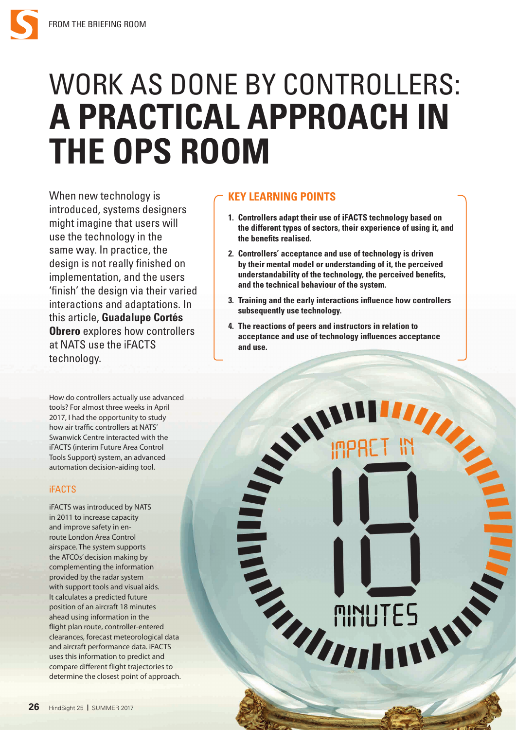# WORK AS DONE BY CONTROLLERS: **A PRACTICAL APPROACH IN THE OPS ROOM**

When new technology is introduced, systems designers might imagine that users will use the technology in the same way. In practice, the design is not really finished on implementation, and the users 'finish' the design via their varied interactions and adaptations. In this article, **Guadalupe Cortés Obrero** explores how controllers at NATS use the iFACTS technology.

How do controllers actually use advanced tools? For almost three weeks in April 2017, I had the opportunity to study how air traffic controllers at NATS' Swanwick Centre interacted with the iFACTS (interim Future Area Control Tools Support) system, an advanced automation decision-aiding tool.

## iFACTS

iFACTS was introduced by NATS in 2011 to increase capacity and improve safety in enroute London Area Control airspace. The system supports the ATCOs' decision making by complementing the information provided by the radar system with support tools and visual aids. It calculates a predicted future position of an aircraft 18 minutes ahead using information in the flight plan route, controller-entered clearances, forecast meteorological data and aircraft performance data. iFACTS uses this information to predict and compare different flight trajectories to determine the closest point of approach.

# **KEY LEARNING POINTS**

- **1. Controllers adapt their use of iFACTS technology based on the different types of sectors, their experience of using it, and the benefits realised.**
- **2. Controllers' acceptance and use of technology is driven by their mental model or understanding of it, the perceived understandability of the technology, the perceived benefits, and the technical behaviour of the system.**
- **3. Training and the early interactions influence how controllers subsequently use technology.**
- **4. The reactions of peers and instructors in relation to acceptance and use of technology influences acceptance and use.**

AV.

**TITILE**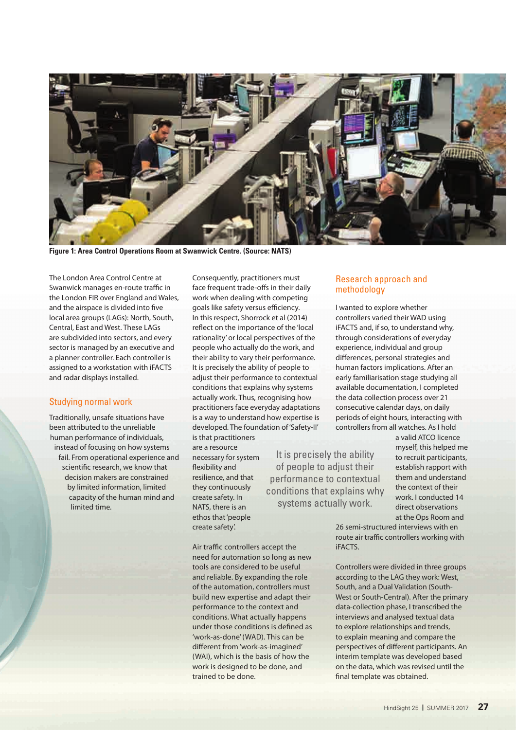

**Figure 1: Area Control Operations Room at Swanwick Centre. (Source: NATS)**

The London Area Control Centre at Swanwick manages en-route traffic in the London FIR over England and Wales, and the airspace is divided into five local area groups (LAGs): North, South, Central, East and West. These LAGs are subdivided into sectors, and every sector is managed by an executive and a planner controller. Each controller is assigned to a workstation with iFACTS and radar displays installed.

## Studying normal work

Traditionally, unsafe situations have been attributed to the unreliable human performance of individuals, instead of focusing on how systems fail. From operational experience and scientific research, we know that decision makers are constrained by limited information, limited capacity of the human mind and limited time.

Consequently, practitioners must face frequent trade-offs in their daily work when dealing with competing goals like safety versus efficiency. In this respect, Shorrock et al (2014) reflect on the importance of the 'local rationality' or local perspectives of the people who actually do the work, and their ability to vary their performance. It is precisely the ability of people to adjust their performance to contextual conditions that explains why systems actually work. Thus, recognising how practitioners face everyday adaptations is a way to understand how expertise is developed. The foundation of 'Safety-II' is that practitioners

are a resource necessary for system flexibility and resilience, and that they continuously create safety. In NATS, there is an ethos that 'people create safety'.

It is precisely the ability of people to adjust their performance to contextual conditions that explains why systems actually work.

Air traffic controllers accept the need for automation so long as new tools are considered to be useful and reliable. By expanding the role of the automation, controllers must build new expertise and adapt their performance to the context and conditions. What actually happens under those conditions is defined as 'work-as-done' (WAD). This can be different from 'work-as-imagined' (WAI), which is the basis of how the

work is designed to be done, and

trained to be done.

## Research approach and methodology

I wanted to explore whether controllers varied their WAD using iFACTS and, if so, to understand why, through considerations of everyday experience, individual and group differences, personal strategies and human factors implications. After an early familiarisation stage studying all available documentation, I completed the data collection process over 21 consecutive calendar days, on daily periods of eight hours, interacting with controllers from all watches. As I hold

> a valid ATCO licence myself, this helped me to recruit participants, establish rapport with them and understand the context of their work. I conducted 14 direct observations at the Ops Room and

26 semi-structured interviews with en route air traffic controllers working with iFACTS.

Controllers were divided in three groups according to the LAG they work: West, South, and a Dual Validation (South-West or South-Central). After the primary data-collection phase, I transcribed the interviews and analysed textual data to explore relationships and trends, to explain meaning and compare the perspectives of different participants. An interim template was developed based on the data, which was revised until the final template was obtained.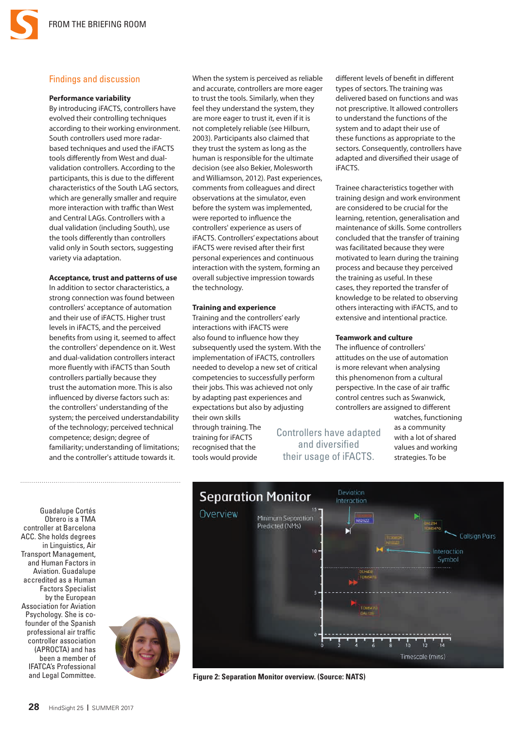## Findings and discussion

#### **Performance variability**

By introducing iFACTS, controllers have evolved their controlling techniques according to their working environment. South controllers used more radarbased techniques and used the iFACTS tools differently from West and dualvalidation controllers. According to the participants, this is due to the different characteristics of the South LAG sectors, which are generally smaller and require more interaction with traffic than West and Central LAGs. Controllers with a dual validation (including South), use the tools differently than controllers valid only in South sectors, suggesting variety via adaptation.

#### **Acceptance, trust and patterns of use**

In addition to sector characteristics, a strong connection was found between controllers' acceptance of automation and their use of iFACTS. Higher trust levels in iFACTS, and the perceived benefits from using it, seemed to affect the controllers' dependence on it. West and dual-validation controllers interact more fluently with iFACTS than South controllers partially because they trust the automation more. This is also influenced by diverse factors such as: the controllers' understanding of the system; the perceived understandability of the technology; perceived technical competence; design; degree of familiarity; understanding of limitations; and the controller's attitude towards it.

When the system is perceived as reliable and accurate, controllers are more eager to trust the tools. Similarly, when they feel they understand the system, they are more eager to trust it, even if it is not completely reliable (see Hilburn, 2003). Participants also claimed that they trust the system as long as the human is responsible for the ultimate decision (see also Bekier, Molesworth and Williamson, 2012). Past experiences, comments from colleagues and direct observations at the simulator, even before the system was implemented, were reported to influence the controllers' experience as users of iFACTS. Controllers' expectations about iFACTS were revised after their first personal experiences and continuous interaction with the system, forming an overall subjective impression towards the technology.

#### **Training and experience**

Training and the controllers' early interactions with iFACTS were also found to influence how they subsequently used the system. With the implementation of iFACTS, controllers needed to develop a new set of critical competencies to successfully perform their jobs. This was achieved not only by adapting past experiences and expectations but also by adjusting their own skills

through training. The training for iFACTS recognised that the tools would provide

Controllers have adapted and diversified their usage of iFACTS.

different levels of benefit in different types of sectors. The training was delivered based on functions and was not prescriptive. It allowed controllers to understand the functions of the system and to adapt their use of these functions as appropriate to the sectors. Consequently, controllers have adapted and diversified their usage of iFACTS.

Trainee characteristics together with training design and work environment are considered to be crucial for the learning, retention, generalisation and maintenance of skills. Some controllers concluded that the transfer of training was facilitated because they were motivated to learn during the training process and because they perceived the training as useful. In these cases, they reported the transfer of knowledge to be related to observing others interacting with iFACTS, and to extensive and intentional practice.

#### **Teamwork and culture**

The influence of controllers' attitudes on the use of automation is more relevant when analysing this phenomenon from a cultural perspective. In the case of air traffic control centres such as Swanwick, controllers are assigned to different

> watches, functioning as a community with a lot of shared values and working strategies. To be

Guadalupe Cortés Obrero is a TMA controller at Barcelona ACC. She holds degrees in Linguistics, Air Transport Management, and Human Factors in Aviation. Guadalupe accredited as a Human Factors Specialist by the European Association for Aviation Psychology. She is cofounder of the Spanish professional air traffic controller association (APROCTA) and has been a member of IFATCA's Professional and Legal Committee.





**Figure 2: Separation Monitor overview. (Source: NATS)**